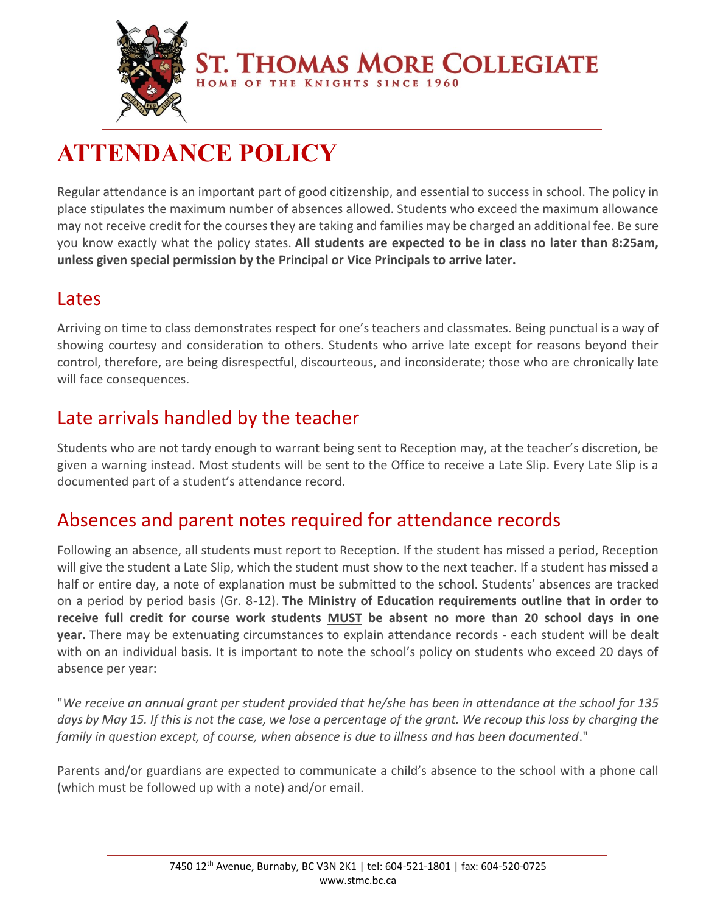

**ST. THOMAS MORE COLLEGIATE** HOME OF THE KNIGHTS SINCE 1960

# **ATTENDANCE POLICY**

Regular attendance is an important part of good citizenship, and essential to success in school. The policy in place stipulates the maximum number of absences allowed. Students who exceed the maximum allowance may not receive credit for the courses they are taking and families may be charged an additional fee. Be sure you know exactly what the policy states. **All students are expected to be in class no later than 8:25am, unless given special permission by the Principal or Vice Principals to arrive later.**

#### Lates

Arriving on time to class demonstrates respect for one's teachers and classmates. Being punctual is a way of showing courtesy and consideration to others. Students who arrive late except for reasons beyond their control, therefore, are being disrespectful, discourteous, and inconsiderate; those who are chronically late will face consequences.

## Late arrivals handled by the teacher

Students who are not tardy enough to warrant being sent to Reception may, at the teacher's discretion, be given a warning instead. Most students will be sent to the Office to receive a Late Slip. Every Late Slip is a documented part of a student's attendance record.

### Absences and parent notes required for attendance records

Following an absence, all students must report to Reception. If the student has missed a period, Reception will give the student a Late Slip, which the student must show to the next teacher. If a student has missed a half or entire day, a note of explanation must be submitted to the school. Students' absences are tracked on a period by period basis (Gr. 8-12). **The Ministry of Education requirements outline that in order to receive full credit for course work students MUST be absent no more than 20 school days in one year.** There may be extenuating circumstances to explain attendance records - each student will be dealt with on an individual basis. It is important to note the school's policy on students who exceed 20 days of absence per year:

"*We receive an annual grant per student provided that he/she has been in attendance at the school for 135 days by May 15. If this is not the case, we lose a percentage of the grant. We recoup this loss by charging the family in question except, of course, when absence is due to illness and has been documented*."

Parents and/or guardians are expected to communicate a child's absence to the school with a phone call (which must be followed up with a note) and/or email.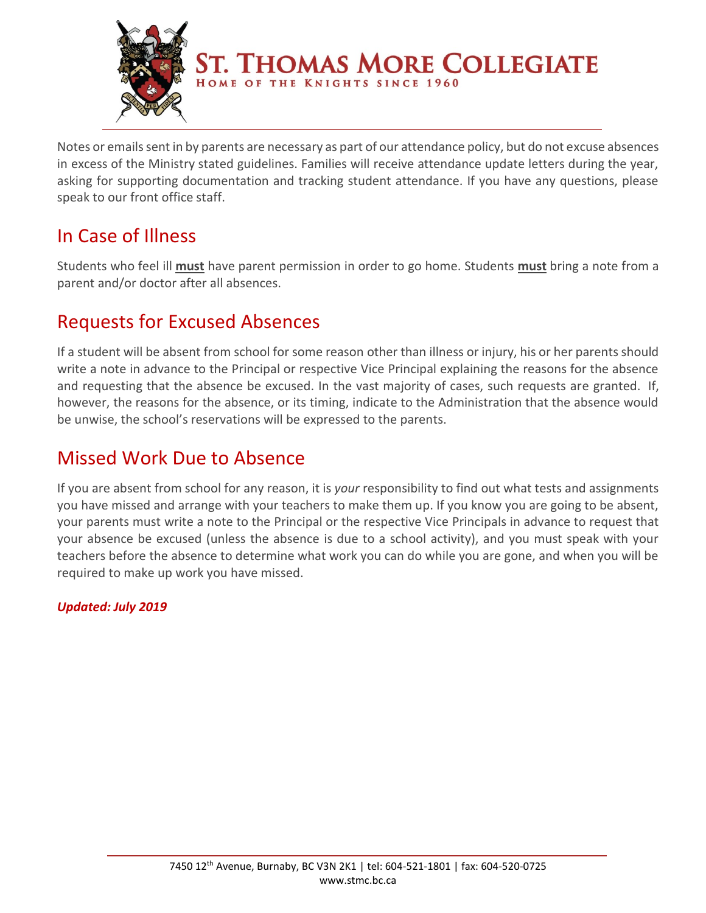

Notes or emails sent in by parents are necessary as part of our attendance policy, but do not excuse absences in excess of the Ministry stated guidelines. Families will receive attendance update letters during the year, asking for supporting documentation and tracking student attendance. If you have any questions, please speak to our front office staff.

## In Case of Illness

Students who feel ill **must** have parent permission in order to go home. Students **must** bring a note from a parent and/or doctor after all absences.

## Requests for Excused Absences

If a student will be absent from school for some reason other than illness or injury, his or her parents should write a note in advance to the Principal or respective Vice Principal explaining the reasons for the absence and requesting that the absence be excused. In the vast majority of cases, such requests are granted. If, however, the reasons for the absence, or its timing, indicate to the Administration that the absence would be unwise, the school's reservations will be expressed to the parents.

### Missed Work Due to Absence

If you are absent from school for any reason, it is *your* responsibility to find out what tests and assignments you have missed and arrange with your teachers to make them up. If you know you are going to be absent, your parents must write a note to the Principal or the respective Vice Principals in advance to request that your absence be excused (unless the absence is due to a school activity), and you must speak with your teachers before the absence to determine what work you can do while you are gone, and when you will be required to make up work you have missed.

*Updated: July 2019*